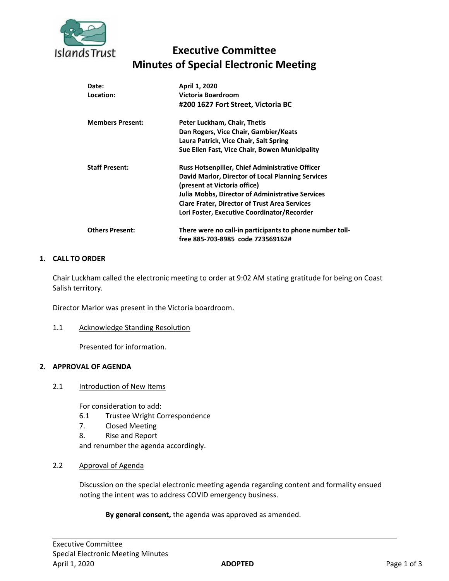

# **Executive Committee Minutes of Special Electronic Meeting**

| Date:<br>Location:      | April 1, 2020<br>Victoria Boardroom<br>#200 1627 Fort Street, Victoria BC                                                                                                                                                                                                                                     |
|-------------------------|---------------------------------------------------------------------------------------------------------------------------------------------------------------------------------------------------------------------------------------------------------------------------------------------------------------|
| <b>Members Present:</b> | Peter Luckham, Chair, Thetis<br>Dan Rogers, Vice Chair, Gambier/Keats<br>Laura Patrick, Vice Chair, Salt Spring<br>Sue Ellen Fast, Vice Chair, Bowen Municipality                                                                                                                                             |
| <b>Staff Present:</b>   | <b>Russ Hotsenpiller, Chief Administrative Officer</b><br>David Marlor, Director of Local Planning Services<br>(present at Victoria office)<br><b>Julia Mobbs, Director of Administrative Services</b><br><b>Clare Frater, Director of Trust Area Services</b><br>Lori Foster, Executive Coordinator/Recorder |
| <b>Others Present:</b>  | There were no call-in participants to phone number toll-<br>free 885-703-8985 code 723569162#                                                                                                                                                                                                                 |

# **1. CALL TO ORDER**

Chair Luckham called the electronic meeting to order at 9:02 AM stating gratitude for being on Coast Salish territory.

Director Marlor was present in the Victoria boardroom.

#### 1.1 Acknowledge Standing Resolution

Presented for information.

## **2. APPROVAL OF AGENDA**

#### 2.1 Introduction of New Items

For consideration to add:

- 6.1 Trustee Wright Correspondence
- 7. Closed Meeting
- 8. Rise and Report

and renumber the agenda accordingly.

2.2 Approval of Agenda

Discussion on the special electronic meeting agenda regarding content and formality ensued noting the intent was to address COVID emergency business.

**By general consent,** the agenda was approved as amended.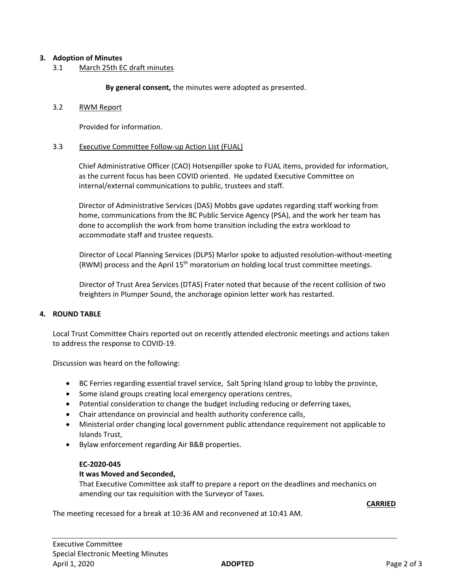# **3. Adoption of Minutes**

3.1 March 25th EC draft minutes

**By general consent,** the minutes were adopted as presented.

#### 3.2 RWM Report

Provided for information.

#### 3.3 Executive Committee Follow-up Action List (FUAL)

Chief Administrative Officer (CAO) Hotsenpiller spoke to FUAL items, provided for information, as the current focus has been COVID oriented. He updated Executive Committee on internal/external communications to public, trustees and staff.

Director of Administrative Services (DAS) Mobbs gave updates regarding staff working from home, communications from the BC Public Service Agency (PSA), and the work her team has done to accomplish the work from home transition including the extra workload to accommodate staff and trustee requests.

Director of Local Planning Services (DLPS) Marlor spoke to adjusted resolution-without-meeting (RWM) process and the April  $15<sup>th</sup>$  moratorium on holding local trust committee meetings.

Director of Trust Area Services (DTAS) Frater noted that because of the recent collision of two freighters in Plumper Sound, the anchorage opinion letter work has restarted.

## **4. ROUND TABLE**

Local Trust Committee Chairs reported out on recently attended electronic meetings and actions taken to address the response to COVID-19.

Discussion was heard on the following:

- BC Ferries regarding essential travel service, Salt Spring Island group to lobby the province,
- Some island groups creating local emergency operations centres,
- Potential consideration to change the budget including reducing or deferring taxes,
- Chair attendance on provincial and health authority conference calls,
- Ministerial order changing local government public attendance requirement not applicable to Islands Trust,
- Bylaw enforcement regarding Air B&B properties.

## **EC-2020-045**

## **It was Moved and Seconded,**

That Executive Committee ask staff to prepare a report on the deadlines and mechanics on amending our tax requisition with the Surveyor of Taxes.

**CARRIED**

The meeting recessed for a break at 10:36 AM and reconvened at 10:41 AM.